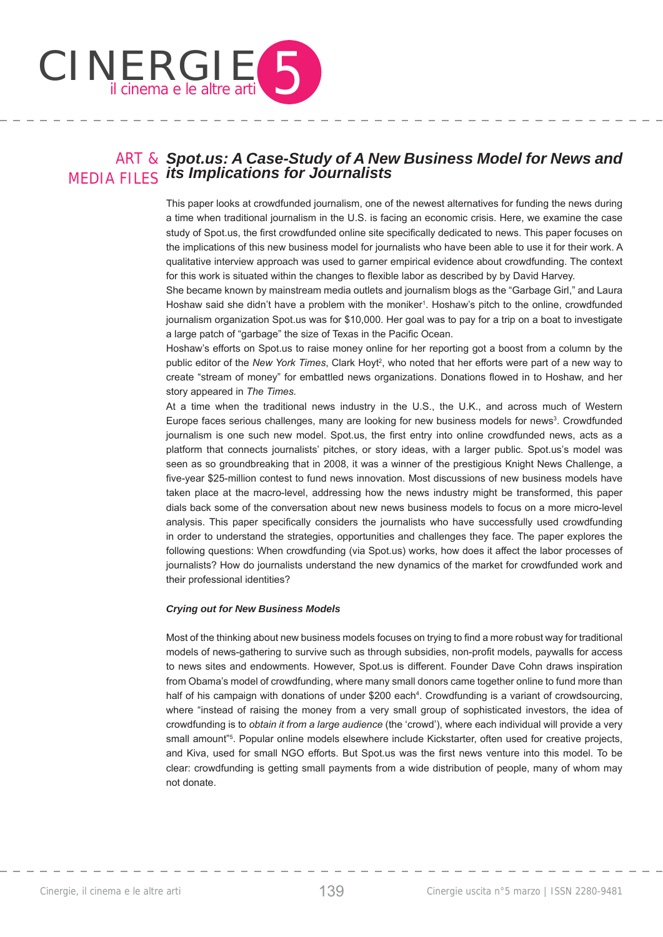

### ART & *Spot.us: A Case-Study of A New Business Model for News and*  MEDIA FILES *its Implications for Journalists*

This paper looks at crowdfunded journalism, one of the newest alternatives for funding the news during a time when traditional journalism in the U.S. is facing an economic crisis. Here, we examine the case study of Spot.us, the first crowdfunded online site specifically dedicated to news. This paper focuses on the implications of this new business model for journalists who have been able to use it for their work. A qualitative interview approach was used to garner empirical evidence about crowdfunding. The context for this work is situated within the changes to flexible labor as described by by David Harvey.

She became known by mainstream media outlets and journalism blogs as the "Garbage Girl," and Laura Hoshaw said she didn't have a problem with the moniker<sup>1</sup>. Hoshaw's pitch to the online, crowdfunded journalism organization Spot.us was for \$10,000. Her goal was to pay for a trip on a boat to investigate a large patch of "garbage" the size of Texas in the Pacific Ocean.

Hoshaw's efforts on Spot.us to raise money online for her reporting got a boost from a column by the public editor of the New York Times, Clark Hoyt<sup>2</sup>, who noted that her efforts were part of a new way to create "stream of money" for embattled news organizations. Donations flowed in to Hoshaw, and her story appeared in *The Times.*

At a time when the traditional news industry in the U.S., the U.K., and across much of Western Europe faces serious challenges, many are looking for new business models for news<sup>3</sup>. Crowdfunded journalism is one such new model. Spot.us, the first entry into online crowdfunded news, acts as a platform that connects journalists' pitches, or story ideas, with a larger public. Spot.us's model was seen as so groundbreaking that in 2008, it was a winner of the prestigious Knight News Challenge, a five-year \$25-million contest to fund news innovation. Most discussions of new business models have taken place at the macro-level, addressing how the news industry might be transformed, this paper dials back some of the conversation about new news business models to focus on a more micro-level analysis. This paper specifically considers the journalists who have successfully used crowdfunding in order to understand the strategies, opportunities and challenges they face. The paper explores the following questions: When crowdfunding (via Spot.us) works, how does it affect the labor processes of journalists? How do journalists understand the new dynamics of the market for crowdfunded work and their professional identities?

#### *Crying out for New Business Models*

Most of the thinking about new business models focuses on trying to find a more robust way for traditional models of news-gathering to survive such as through subsidies, non-profit models, paywalls for access to news sites and endowments. However, Spot.us is different. Founder Dave Cohn draws inspiration from Obama's model of crowdfunding, where many small donors came together online to fund more than half of his campaign with donations of under \$200 each<sup>4</sup>. Crowdfunding is a variant of crowdsourcing, where "instead of raising the money from a very small group of sophisticated investors, the idea of crowdfunding is to *obtain it from a large audience* (the 'crowd'), where each individual will provide a very small amount"<sup>5</sup>. Popular online models elsewhere include Kickstarter, often used for creative projects, and Kiva, used for small NGO efforts. But Spot.us was the first news venture into this model. To be clear: crowdfunding is getting small payments from a wide distribution of people, many of whom may not donate.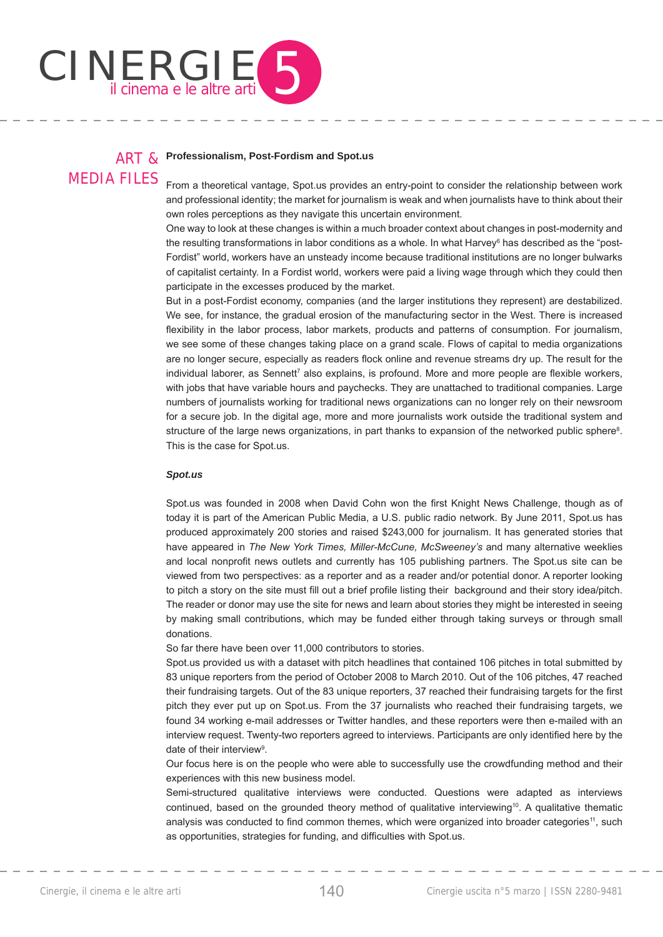

#### ART & MEDIA FILES **Professionalism, Post-Fordism and Spot.us**

From a theoretical vantage, Spot.us provides an entry-point to consider the relationship between work and professional identity; the market for journalism is weak and when journalists have to think about their own roles perceptions as they navigate this uncertain environment.

One way to look at these changes is within a much broader context about changes in post-modernity and the resulting transformations in labor conditions as a whole. In what Harvey<sup>6</sup> has described as the "post-Fordist" world, workers have an unsteady income because traditional institutions are no longer bulwarks of capitalist certainty. In a Fordist world, workers were paid a living wage through which they could then participate in the excesses produced by the market.

But in a post-Fordist economy, companies (and the larger institutions they represent) are destabilized. We see, for instance, the gradual erosion of the manufacturing sector in the West. There is increased flexibility in the labor process, labor markets, products and patterns of consumption. For journalism, we see some of these changes taking place on a grand scale. Flows of capital to media organizations are no longer secure, especially as readers flock online and revenue streams dry up. The result for the individual laborer, as Sennett<sup>7</sup> also explains, is profound. More and more people are flexible workers, with jobs that have variable hours and paychecks. They are unattached to traditional companies. Large numbers of journalists working for traditional news organizations can no longer rely on their newsroom for a secure job. In the digital age, more and more journalists work outside the traditional system and structure of the large news organizations, in part thanks to expansion of the networked public sphere<sup>8</sup>. This is the case for Spot.us.

#### *Spot.us*

Spot.us was founded in 2008 when David Cohn won the first Knight News Challenge, though as of today it is part of the American Public Media, a U.S. public radio network. By June 2011, Spot.us has produced approximately 200 stories and raised \$243,000 for journalism. It has generated stories that have appeared in *The New York Times, Miller-McCune, McSweeney's* and many alternative weeklies and local nonprofit news outlets and currently has 105 publishing partners. The Spot.us site can be viewed from two perspectives: as a reporter and as a reader and/or potential donor. A reporter looking to pitch a story on the site must fill out a brief profile listing their background and their story idea/pitch. The reader or donor may use the site for news and learn about stories they might be interested in seeing by making small contributions, which may be funded either through taking surveys or through small donations.

So far there have been over 11,000 contributors to stories.

Spot.us provided us with a dataset with pitch headlines that contained 106 pitches in total submitted by 83 unique reporters from the period of October 2008 to March 2010. Out of the 106 pitches, 47 reached their fundraising targets. Out of the 83 unique reporters, 37 reached their fundraising targets for the first pitch they ever put up on Spot.us. From the 37 journalists who reached their fundraising targets, we found 34 working e-mail addresses or Twitter handles, and these reporters were then e-mailed with an interview request. Twenty-two reporters agreed to interviews. Participants are only identified here by the date of their interview<sup>9</sup>.

Our focus here is on the people who were able to successfully use the crowdfunding method and their experiences with this new business model.

Semi-structured qualitative interviews were conducted. Questions were adapted as interviews continued, based on the grounded theory method of qualitative interviewing<sup>10</sup>. A qualitative thematic analysis was conducted to find common themes, which were organized into broader categories<sup>11</sup>, such as opportunities, strategies for funding, and difficulties with Spot.us.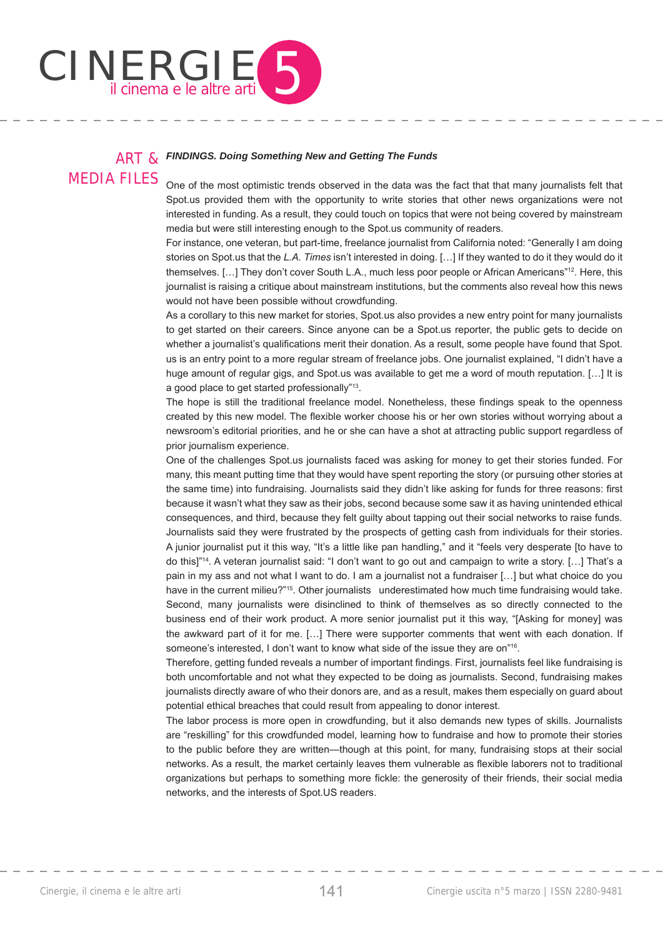

#### ART & MEDIA FILES *FINDINGS. Doing Something New and Getting The Funds*

One of the most optimistic trends observed in the data was the fact that that many journalists felt that Spot.us provided them with the opportunity to write stories that other news organizations were not interested in funding. As a result, they could touch on topics that were not being covered by mainstream media but were still interesting enough to the Spot.us community of readers.

For instance, one veteran, but part-time, freelance journalist from California noted: "Generally I am doing stories on Spot.us that the *L.A. Times* isn't interested in doing. […] If they wanted to do it they would do it themselves. […] They don't cover South L.A., much less poor people or African Americans"12. Here, this journalist is raising a critique about mainstream institutions, but the comments also reveal how this news would not have been possible without crowdfunding.

As a corollary to this new market for stories, Spot.us also provides a new entry point for many journalists to get started on their careers. Since anyone can be a Spot.us reporter, the public gets to decide on whether a journalist's qualifications merit their donation. As a result, some people have found that Spot. us is an entry point to a more regular stream of freelance jobs. One journalist explained, "I didn't have a huge amount of regular gigs, and Spot.us was available to get me a word of mouth reputation. […] It is a good place to get started professionally"13.

The hope is still the traditional freelance model. Nonetheless, these findings speak to the openness created by this new model. The flexible worker choose his or her own stories without worrying about a newsroom's editorial priorities, and he or she can have a shot at attracting public support regardless of prior journalism experience.

One of the challenges Spot.us journalists faced was asking for money to get their stories funded. For many, this meant putting time that they would have spent reporting the story (or pursuing other stories at the same time) into fundraising. Journalists said they didn't like asking for funds for three reasons: first because it wasn't what they saw as their jobs, second because some saw it as having unintended ethical consequences, and third, because they felt guilty about tapping out their social networks to raise funds. Journalists said they were frustrated by the prospects of getting cash from individuals for their stories. A junior journalist put it this way, "It's a little like pan handling," and it "feels very desperate [to have to do this]"14. A veteran journalist said: "I don't want to go out and campaign to write a story. […] That's a pain in my ass and not what I want to do. I am a journalist not a fundraiser […] but what choice do you have in the current milieu?"<sup>15</sup>. Other journalists underestimated how much time fundraising would take. Second, many journalists were disinclined to think of themselves as so directly connected to the business end of their work product. A more senior journalist put it this way, "[Asking for money] was the awkward part of it for me. […] There were supporter comments that went with each donation. If someone's interested, I don't want to know what side of the issue they are on"<sup>16</sup>.

Therefore, getting funded reveals a number of important findings. First, journalists feel like fundraising is both uncomfortable and not what they expected to be doing as journalists. Second, fundraising makes journalists directly aware of who their donors are, and as a result, makes them especially on guard about potential ethical breaches that could result from appealing to donor interest.

The labor process is more open in crowdfunding, but it also demands new types of skills. Journalists are "reskilling" for this crowdfunded model, learning how to fundraise and how to promote their stories to the public before they are written—though at this point, for many, fundraising stops at their social networks. As a result, the market certainly leaves them vulnerable as flexible laborers not to traditional organizations but perhaps to something more fickle: the generosity of their friends, their social media networks, and the interests of Spot.US readers.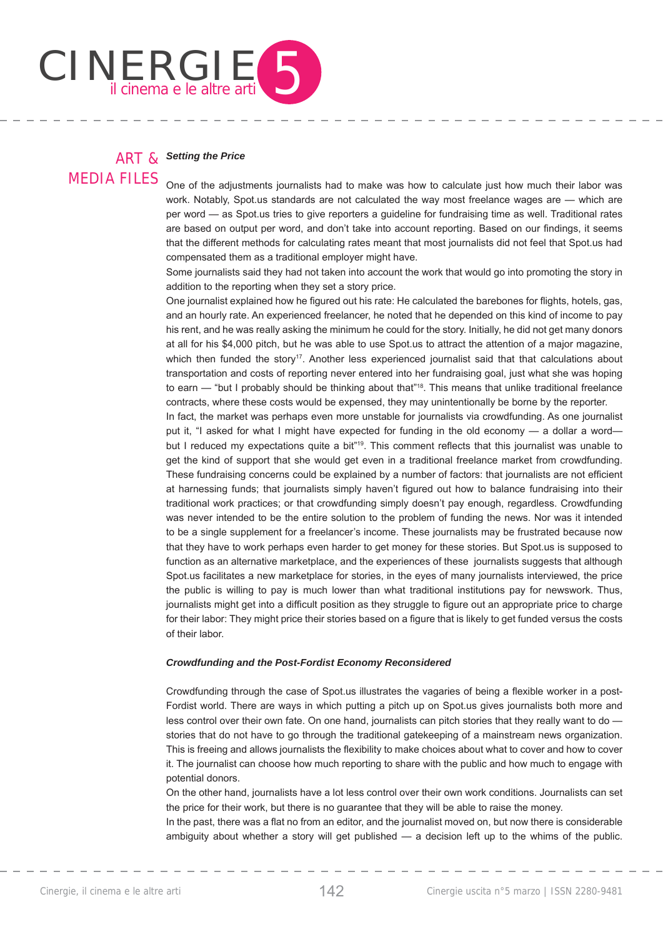

### ART & *Setting the Price*

MEDIA FILES

One of the adjustments journalists had to make was how to calculate just how much their labor was work. Notably, Spot.us standards are not calculated the way most freelance wages are — which are per word — as Spot.us tries to give reporters a guideline for fundraising time as well. Traditional rates are based on output per word, and don't take into account reporting. Based on our findings, it seems that the different methods for calculating rates meant that most journalists did not feel that Spot.us had compensated them as a traditional employer might have.

Some journalists said they had not taken into account the work that would go into promoting the story in addition to the reporting when they set a story price.

One journalist explained how he figured out his rate: He calculated the barebones for flights, hotels, gas, and an hourly rate. An experienced freelancer, he noted that he depended on this kind of income to pay his rent, and he was really asking the minimum he could for the story. Initially, he did not get many donors at all for his \$4,000 pitch, but he was able to use Spot.us to attract the attention of a major magazine, which then funded the story<sup>17</sup>. Another less experienced journalist said that that calculations about transportation and costs of reporting never entered into her fundraising goal, just what she was hoping to earn — "but I probably should be thinking about that"<sup>18</sup>. This means that unlike traditional freelance contracts, where these costs would be expensed, they may unintentionally be borne by the reporter.

In fact, the market was perhaps even more unstable for journalists via crowdfunding. As one journalist put it, "I asked for what I might have expected for funding in the old economy — a dollar a word but I reduced my expectations quite a bit<sup>"19</sup>. This comment reflects that this journalist was unable to get the kind of support that she would get even in a traditional freelance market from crowdfunding. These fundraising concerns could be explained by a number of factors: that journalists are not efficient at harnessing funds; that journalists simply haven't figured out how to balance fundraising into their traditional work practices; or that crowdfunding simply doesn't pay enough, regardless. Crowdfunding was never intended to be the entire solution to the problem of funding the news. Nor was it intended to be a single supplement for a freelancer's income. These journalists may be frustrated because now that they have to work perhaps even harder to get money for these stories. But Spot.us is supposed to function as an alternative marketplace, and the experiences of these journalists suggests that although Spot.us facilitates a new marketplace for stories, in the eyes of many journalists interviewed, the price the public is willing to pay is much lower than what traditional institutions pay for newswork. Thus, journalists might get into a difficult position as they struggle to figure out an appropriate price to charge for their labor: They might price their stories based on a figure that is likely to get funded versus the costs of their labor.

#### *Crowdfunding and the Post-Fordist Economy Reconsidered*

Crowdfunding through the case of Spot.us illustrates the vagaries of being a flexible worker in a post-Fordist world. There are ways in which putting a pitch up on Spot.us gives journalists both more and less control over their own fate. On one hand, journalists can pitch stories that they really want to do stories that do not have to go through the traditional gatekeeping of a mainstream news organization. This is freeing and allows journalists the flexibility to make choices about what to cover and how to cover it. The journalist can choose how much reporting to share with the public and how much to engage with potential donors.

On the other hand, journalists have a lot less control over their own work conditions. Journalists can set the price for their work, but there is no guarantee that they will be able to raise the money.

In the past, there was a flat no from an editor, and the journalist moved on, but now there is considerable ambiguity about whether a story will get published — a decision left up to the whims of the public.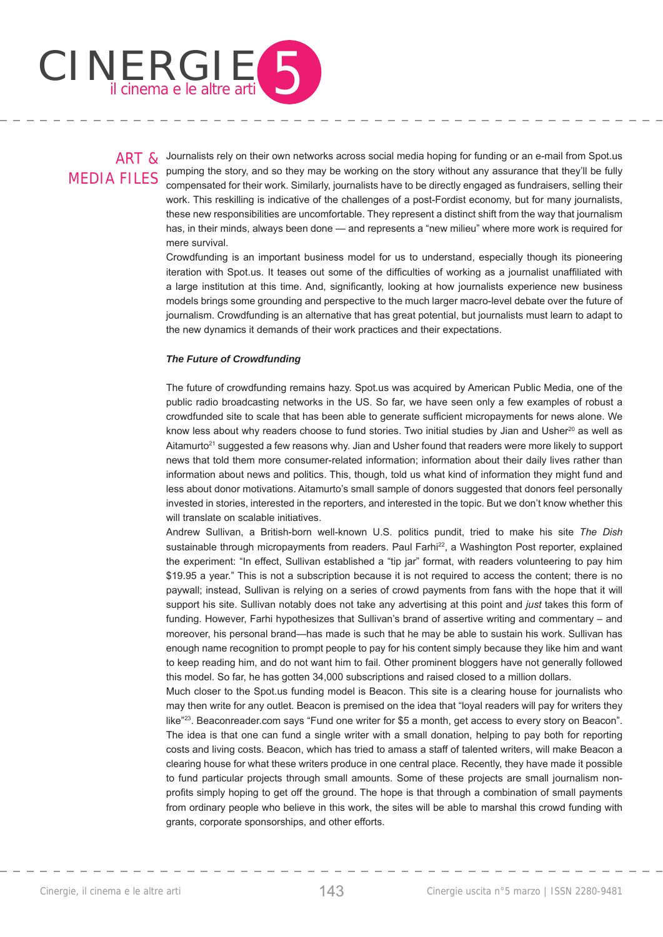

# MEDIA FILES

ART & Journalists rely on their own networks across social media hoping for funding or an e-mail from Spot.us pumping the story, and so they may be working on the story without any assurance that they'll be fully compensated for their work. Similarly, journalists have to be directly engaged as fundraisers, selling their work. This reskilling is indicative of the challenges of a post-Fordist economy, but for many journalists, these new responsibilities are uncomfortable. They represent a distinct shift from the way that journalism has, in their minds, always been done — and represents a "new milieu" where more work is required for mere survival.

Crowdfunding is an important business model for us to understand, especially though its pioneering iteration with Spot.us. It teases out some of the difficulties of working as a journalist unaffiliated with a large institution at this time. And, significantly, looking at how journalists experience new business models brings some grounding and perspective to the much larger macro-level debate over the future of journalism. Crowdfunding is an alternative that has great potential, but journalists must learn to adapt to the new dynamics it demands of their work practices and their expectations.

#### *The Future of Crowdfunding*

The future of crowdfunding remains hazy. Spot.us was acquired by American Public Media, one of the public radio broadcasting networks in the US. So far, we have seen only a few examples of robust a crowdfunded site to scale that has been able to generate sufficient micropayments for news alone. We know less about why readers choose to fund stories. Two initial studies by Jian and Usher<sup>20</sup> as well as Aitamurto<sup>21</sup> suggested a few reasons why. Jian and Usher found that readers were more likely to support news that told them more consumer-related information; information about their daily lives rather than information about news and politics. This, though, told us what kind of information they might fund and less about donor motivations. Aitamurto's small sample of donors suggested that donors feel personally invested in stories, interested in the reporters, and interested in the topic. But we don't know whether this will translate on scalable initiatives.

Andrew Sullivan, a British-born well-known U.S. politics pundit, tried to make his site *The Dish* sustainable through micropayments from readers. Paul Farhi<sup>22</sup>, a Washington Post reporter, explained the experiment: "In effect, Sullivan established a "tip jar" format, with readers volunteering to pay him \$19.95 a year." This is not a subscription because it is not required to access the content; there is no paywall; instead, Sullivan is relying on a series of crowd payments from fans with the hope that it will support his site. Sullivan notably does not take any advertising at this point and *just* takes this form of funding. However, Farhi hypothesizes that Sullivan's brand of assertive writing and commentary – and moreover, his personal brand—has made is such that he may be able to sustain his work. Sullivan has enough name recognition to prompt people to pay for his content simply because they like him and want to keep reading him, and do not want him to fail. Other prominent bloggers have not generally followed this model. So far, he has gotten 34,000 subscriptions and raised closed to a million dollars.

Much closer to the Spot.us funding model is Beacon. This site is a clearing house for journalists who may then write for any outlet. Beacon is premised on the idea that "loyal readers will pay for writers they like"<sup>23</sup>. Beaconreader.com says "Fund one writer for \$5 a month, get access to every story on Beacon". The idea is that one can fund a single writer with a small donation, helping to pay both for reporting costs and living costs. Beacon, which has tried to amass a staff of talented writers, will make Beacon a clearing house for what these writers produce in one central place. Recently, they have made it possible to fund particular projects through small amounts. Some of these projects are small journalism nonprofits simply hoping to get off the ground. The hope is that through a combination of small payments from ordinary people who believe in this work, the sites will be able to marshal this crowd funding with grants, corporate sponsorships, and other efforts.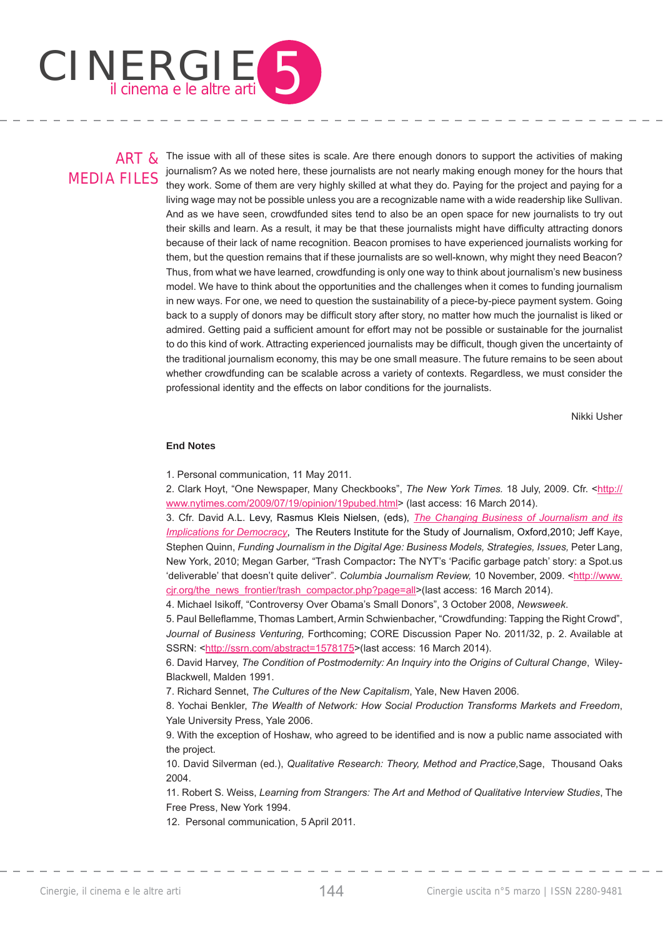

## MEDIA FILES

ART & The issue with all of these sites is scale. Are there enough donors to support the activities of making journalism? As we noted here, these journalists are not nearly making enough money for the hours that they work. Some of them are very highly skilled at what they do. Paying for the project and paying for a living wage may not be possible unless you are a recognizable name with a wide readership like Sullivan. And as we have seen, crowdfunded sites tend to also be an open space for new journalists to try out their skills and learn. As a result, it may be that these journalists might have difficulty attracting donors because of their lack of name recognition. Beacon promises to have experienced journalists working for them, but the question remains that if these journalists are so well-known, why might they need Beacon? Thus, from what we have learned, crowdfunding is only one way to think about journalism's new business model. We have to think about the opportunities and the challenges when it comes to funding journalism in new ways. For one, we need to question the sustainability of a piece-by-piece payment system. Going back to a supply of donors may be difficult story after story, no matter how much the journalist is liked or admired. Getting paid a sufficient amount for effort may not be possible or sustainable for the journalist to do this kind of work. Attracting experienced journalists may be difficult, though given the uncertainty of the traditional journalism economy, this may be one small measure. The future remains to be seen about whether crowdfunding can be scalable across a variety of contexts. Regardless, we must consider the professional identity and the effects on labor conditions for the journalists.

Nikki Usher

#### **End Notes**

1. Personal communication,11 May 2011.

2. Clark Hoyt, "One Newspaper, Many Checkbooks", The New York Times. 18 July, 2009. Cfr. <http:// www.nytimes.com/2009/07/19/opinion/19pubed.html> (last access: 16 March 2014).

3. Cfr. David A.L. Levy, Rasmus Kleis Nielsen, (eds), *The Changing Business of Journalism and its Implications for Democracy*, The Reuters Institute for the Study of Journalism, Oxford,2010; Jeff Kaye, Stephen Quinn, *Funding Journalism in the Digital Age: Business Models, Strategies, Issues, Peter Lang,* New York, 2010; Megan Garber, "Trash Compactor: The NYT's 'Pacific garbage patch' story: a Spot.us 'deliverable' that doesn't quite deliver". *Columbia Journalism Review*, 10 November, 2009. <http://www. cjr.org/the\_news\_frontier/trash\_compactor.php?page=all>(last access: 16 March 2014).

4. Michael Isikoff, "Controversy Over Obama's Small Donors", 3 October 2008, *Newsweek*.

5. Paul Belleflamme, Thomas Lambert, Armin Schwienbacher, "Crowdfunding: Tapping the Right Crowd", *Journal of Business Venturing,* Forthcoming; CORE Discussion Paper No. 2011/32, p. 2. Available at SSRN: <http://ssrn.com/abstract=1578175>(last access: 16 March 2014).

6. David Harvey, *The Condition of Postmodernity: An Inquiry into the Origins of Cultural Change*, Wiley-Blackwell, Malden 1991.

7. Richard Sennet, *The Cultures of the New Capitalism*, Yale, New Haven 2006.

8. Yochai Benkler, *The Wealth of Network: How Social Production Transforms Markets and Freedom*, Yale University Press, Yale 2006.

9. With the exception of Hoshaw, who agreed to be identified and is now a public name associated with the project.

10. David Silverman (ed.), *Qualitative Research: Theory, Method and Practice,*Sage, Thousand Oaks 2004.

11. Robert S. Weiss, *Learning from Strangers: The Art and Method of Qualitative Interview Studies*, The Free Press, New York 1994.

12. Personal communication, 5 April 2011.